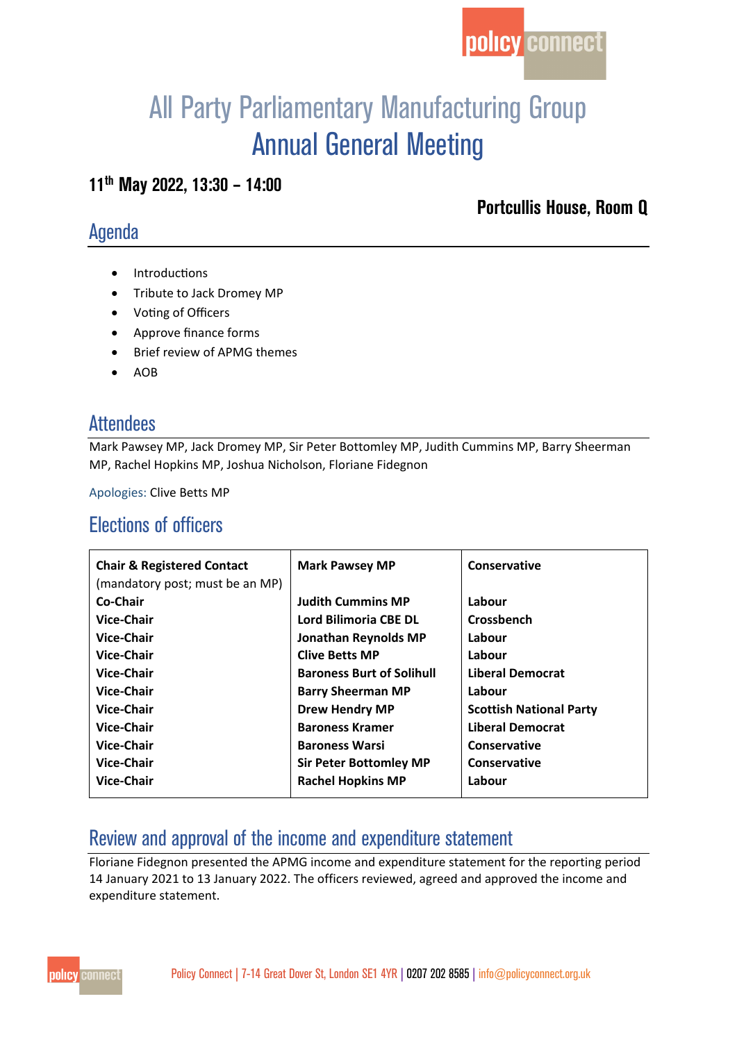

# All Party Parliamentary Manufacturing Group Annual General Meeting

#### **11th May 2022, 13:30 – 14:00**

### Agenda

**Portcullis House, Room Q** 

- Introductions
- Tribute to Jack Dromey MP
- Voting of Officers
- Approve finance forms
- Brief review of APMG themes
- AOB

#### **Attendees**

Mark Pawsey MP, Jack Dromey MP, Sir Peter Bottomley MP, Judith Cummins MP, Barry Sheerman MP, Rachel Hopkins MP, Joshua Nicholson, Floriane Fidegnon

Apologies: Clive Betts MP

## Elections of officers

| <b>Chair &amp; Registered Contact</b> | <b>Mark Pawsey MP</b>            | Conservative                   |
|---------------------------------------|----------------------------------|--------------------------------|
| (mandatory post; must be an MP)       |                                  |                                |
| Co-Chair                              | <b>Judith Cummins MP</b>         | Labour                         |
| <b>Vice-Chair</b>                     | Lord Bilimoria CBE DL            | Crossbench                     |
| <b>Vice-Chair</b>                     | <b>Jonathan Reynolds MP</b>      | Labour                         |
| <b>Vice-Chair</b>                     | <b>Clive Betts MP</b>            | Labour                         |
| Vice-Chair                            | <b>Baroness Burt of Solihull</b> | <b>Liberal Democrat</b>        |
| <b>Vice-Chair</b>                     | <b>Barry Sheerman MP</b>         | Labour                         |
| <b>Vice-Chair</b>                     | <b>Drew Hendry MP</b>            | <b>Scottish National Party</b> |
| Vice-Chair                            | <b>Baroness Kramer</b>           | <b>Liberal Democrat</b>        |
| <b>Vice-Chair</b>                     | <b>Baroness Warsi</b>            | Conservative                   |
| <b>Vice-Chair</b>                     | <b>Sir Peter Bottomley MP</b>    | Conservative                   |
| <b>Vice-Chair</b>                     | <b>Rachel Hopkins MP</b>         | Labour                         |

## Review and approval of the income and expenditure statement

Floriane Fidegnon presented the APMG income and expenditure statement for the reporting period 14 January 2021 to 13 January 2022. The officers reviewed, agreed and approved the income and expenditure statement.